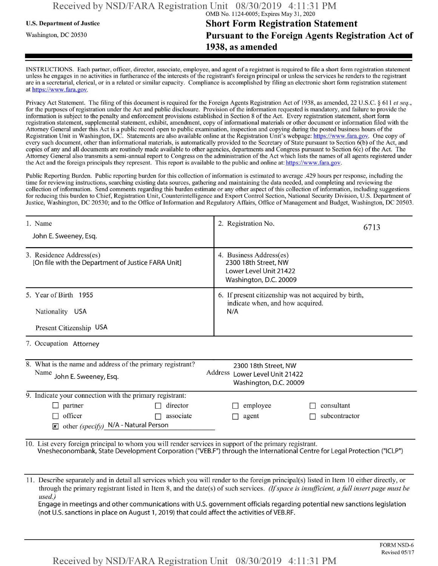|  | Received by NSD/FARA Registration Unit 08/30/2019 4:11:31 PM |                                         |  |  |  |  |
|--|--------------------------------------------------------------|-----------------------------------------|--|--|--|--|
|  |                                                              | OMB No. 1124-0005; Expires May 31, 2020 |  |  |  |  |

## U.S. Department of Justice **Short Form Registration Statement** Washington, dc <sup>20530</sup> **Pursuant to the Foreign Agents Registration Act of 1938, as amended**

INSTRUCTIONS. Each partner, officer, director, associate, employee, and agent of a registrant is required to file a short form registration statement unless he engages in no activities in furtherance ofthe interests ofthe registrant's foreign principal or unless the services he renders to the registrant are in a secretarial, clerical, or in a related or similar capacity. Compliance is accomplished by filing an electronic short form registration statement at https://www.fara.gov.

Privacy Act Statement. The filing of this document is required for the Foreign Agents Registration Act of 1938, as amended, 22 U.S.C. § 611 *et seq.*, for the purposes of registration under the Act and public disclosure. Provision of the information requested is mandatory, and failure to provide the information is subject to the penalty and enforcement provisions established in Section 8 ofthe Act. Every registration statement, short form registration statement, supplemental statement, exhibit, amendment, copy of informational materials or other document or information filed with the Attorney General under this Act is a public record open to public examination, inspection and copying during the posted business hours ofthe Registration Unit in Washington, DC. Statements are also available online at the Registration Unit's webpage: https://www.fara.gov. One copy of every such document, other than informational materials, is automatically provided to the Secretary of State pursuant to Section 6(b) of the Act, and copies of any and all documents are routinely made available to other agencies, departments and Congress pursuant to Section 6(c) ofthe Act. The Attorney General also transmits a semi-annual report to Congress on the administration ofthe Act which lists the names of all agents registered under the Act and the foreign principals they represent. This report is available to the public and online at: https://www.fara.gov.

Public Reporting Burden. Public reporting burden for this collection of information is estimated to average .429 hours per response, including the time for reviewing instructions, searching existing data sources, gathering and maintaining the data needed, and completing and reviewing the collection of information. Send comments regarding this burden estimate or any other aspect of this collection of information, including suggestions for reducing this burden to Chief, Registration Unit, Counterintelligence and Export Control Section, National Security Division, U.S. Department of Justice, Washington, DC 20530; and to the Office of Information and Regulatory Affairs, Office of Management and Budget, Washington, DC 20503.

| 1. Name<br>John E. Sweeney, Esq.                                                                                                                                                | 2. Registration No.<br>6713                                                                                             |
|---------------------------------------------------------------------------------------------------------------------------------------------------------------------------------|-------------------------------------------------------------------------------------------------------------------------|
| 3. Residence Address(es)<br>[On file with the Department of Justice FARA Unit]                                                                                                  | 4. Business Address(es)<br>2300 18th Street, NW<br>Lower Level Unit 21422<br>Washington, D.C. 20009                     |
| 5. Year of Birth 1955<br>Nationality USA                                                                                                                                        | 6. If present citizenship was not acquired by birth,<br>indicate when, and how acquired.<br>N/A                         |
| Present Citizenship USA                                                                                                                                                         |                                                                                                                         |
| 7. Occupation Attorney                                                                                                                                                          |                                                                                                                         |
| 8. What is the name and address of the primary registrant?<br>2300 18th Street, NW<br>Address Lower Level Unit 21422<br>Name<br>John E. Sweeney, Esq.<br>Washington, D.C. 20009 |                                                                                                                         |
| 9. Indicate your connection with the primary registrant:                                                                                                                        |                                                                                                                         |
| director<br>$\Box$ partner                                                                                                                                                      | employee<br>consultant                                                                                                  |
| officer<br>associate                                                                                                                                                            | subcontractor<br>agent                                                                                                  |
| other (specify) N/A - Natural Person<br>$\overline{\mathbf{x}}$                                                                                                                 |                                                                                                                         |
| 10. List every foreign principal to whom you will render services in support of the primary registrant.                                                                         | Vnesheconombank, State Development Corporation ("VEB.F") through the International Centre for Legal Protection ("ICLP") |

11. Describe separately and in detail all services which you will render to the foreign principal(s) listed in Item 10 either directly, or through the primary registrant listed in Item 8, and the date(s) ofsuch services. *(Ifspace is insufficient, afull insertpage must be used.)*

Engage in meetings and other communications with U.S. government officials regarding potential new sanctions legislation (not U.S. sanctions in place on August 1, 2019) that could affect the activities of VEB.RF.